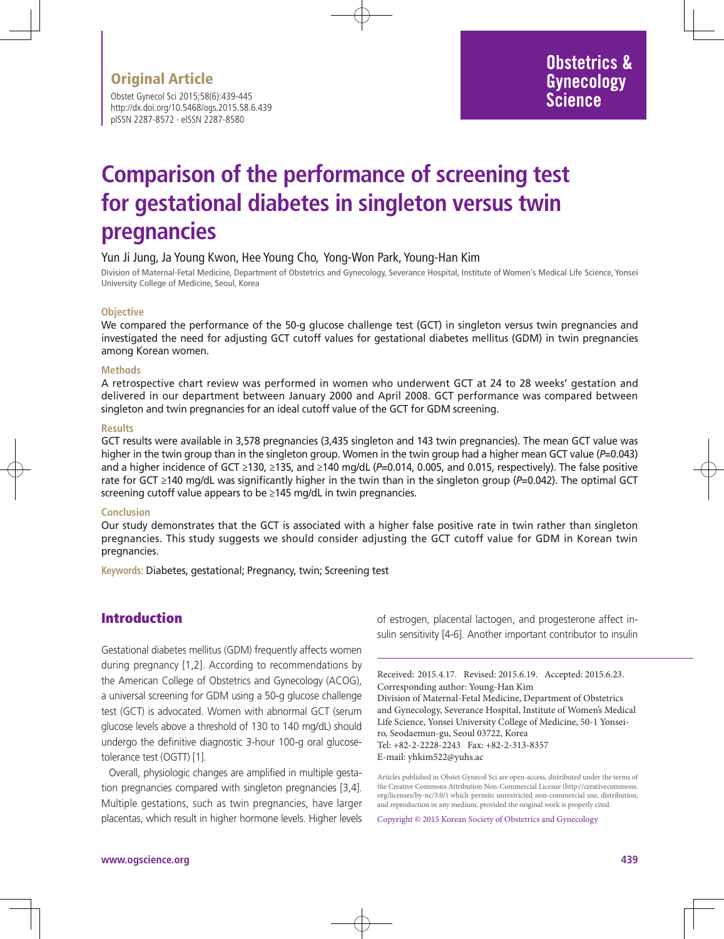Obstet Gynecol Sci 2015;58(6):439-445 http://dx.doi.org/10.5468/ogs.2015.58.6.439 pISSN 2287-8572 · eISSN 2287-8580

# **Comparison of the performance of screening test for gestational diabetes in singleton versus twin pregnancies**

#### Yun Ji Jung, Ja Young Kwon, Hee Young Cho, Yong-Won Park, Young-Han Kim

Division of Maternal-Fetal Medicine, Department of Obstetrics and Gynecology, Severance Hospital, Institute of Women's Medical Life Science, Yonsei University College of Medicine, Seoul, Korea

#### **Objective**

We compared the performance of the 50-g glucose challenge test (GCT) in singleton versus twin pregnancies and investigated the need for adjusting GCT cutoff values for gestational diabetes mellitus (GDM) in twin pregnancies among Korean women.

#### **Methods**

A retrospective chart review was performed in women who underwent GCT at 24 to 28 weeks' gestation and delivered in our department between January 2000 and April 2008. GCT performance was compared between singleton and twin pregnancies for an ideal cutoff value of the GCT for GDM screening.

#### **Results**

GCT results were available in 3,578 pregnancies (3,435 singleton and 143 twin pregnancies). The mean GCT value was higher in the twin group than in the singleton group. Women in the twin group had a higher mean GCT value (*P*=0.043) and a higher incidence of GCT ≥130, ≥135, and ≥140 mg/dL (*P*=0.014, 0.005, and 0.015, respectively). The false positive rate for GCT ≥140 mg/dL was significantly higher in the twin than in the singleton group (*P*=0.042). The optimal GCT screening cutoff value appears to be ≥145 mg/dL in twin pregnancies.

#### **Conclusion**

Our study demonstrates that the GCT is associated with a higher false positive rate in twin rather than singleton pregnancies. This study suggests we should consider adjusting the GCT cutoff value for GDM in Korean twin pregnancies.

**Keywords:** Diabetes, gestational; Pregnancy, twin; Screening test

### Introduction

Gestational diabetes mellitus (GDM) frequently affects women during pregnancy [1,2]. According to recommendations by the American College of Obstetrics and Gynecology (ACOG), a universal screening for GDM using a 50-g glucose challenge test (GCT) is advocated. Women with abnormal GCT (serum glucose levels above a threshold of 130 to 140 mg/dL) should undergo the definitive diagnostic 3-hour 100-g oral glucosetolerance test (OGTT) [1].

Overall, physiologic changes are amplified in multiple gestation pregnancies compared with singleton pregnancies [3,4]. Multiple gestations, such as twin pregnancies, have larger placentas, which result in higher hormone levels. Higher levels

of estrogen, placental lactogen, and progesterone affect insulin sensitivity [4-6]. Another important contributor to insulin

Received: 2015.4.17. Revised: 2015.6.19. Accepted: 2015.6.23. Corresponding author: Young-Han Kim Division of Maternal-Fetal Medicine, Department of Obstetrics and Gynecology, Severance Hospital, Institute of Women's Medical Life Science, Yonsei University College of Medicine, 50-1 Yonseiro, Seodaemun-gu, Seoul 03722, Korea Tel: +82-2-2228-2243 Fax: +82-2-313-8357 E-mail: yhkim522@yuhs.ac

Copyright © 2015 Korean Society of Obstetrics and Gynecology

Articles published in Obstet Gynecol Sci are open-access, distributed under the terms of the Creative Commons Attribution Non-Commercial License (http://creativecommons. org/licenses/by-nc/3.0/) which permits unrestricted non-commercial use, distribution, and reproduction in any medium, provided the original work is properly cited.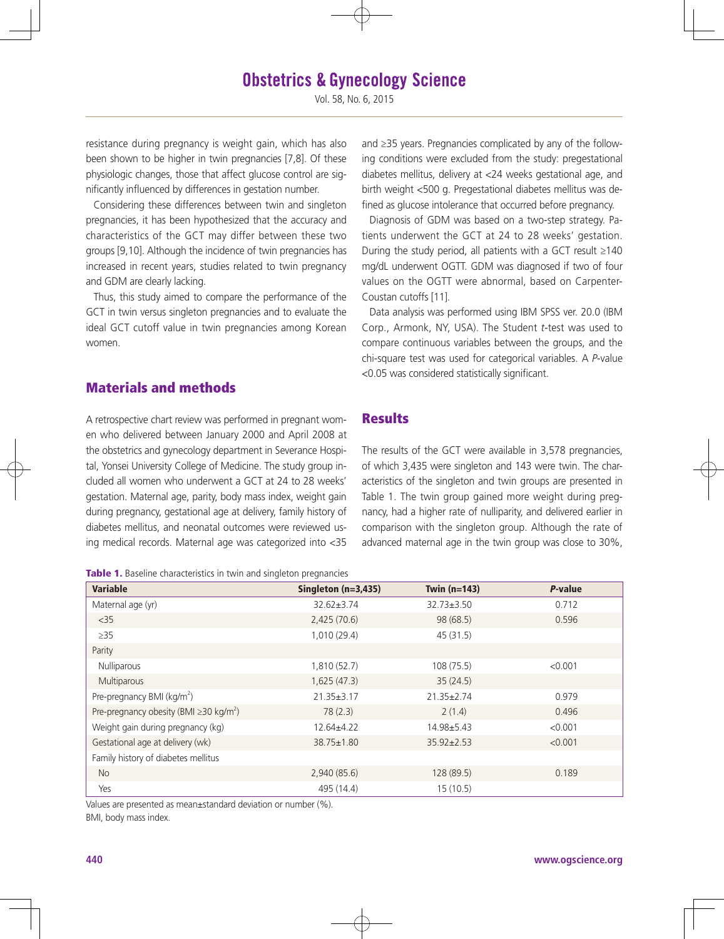# **Obstetrics & Gynecology Science**

Vol. 58, No. 6, 2015

resistance during pregnancy is weight gain, which has also been shown to be higher in twin pregnancies [7,8]. Of these physiologic changes, those that affect glucose control are significantly influenced by differences in gestation number.

Considering these differences between twin and singleton pregnancies, it has been hypothesized that the accuracy and characteristics of the GCT may differ between these two groups [9,10]. Although the incidence of twin pregnancies has increased in recent years, studies related to twin pregnancy and GDM are clearly lacking.

Thus, this study aimed to compare the performance of the GCT in twin versus singleton pregnancies and to evaluate the ideal GCT cutoff value in twin pregnancies among Korean women.

## Materials and methods

A retrospective chart review was performed in pregnant women who delivered between January 2000 and April 2008 at the obstetrics and gynecology department in Severance Hospital, Yonsei University College of Medicine. The study group included all women who underwent a GCT at 24 to 28 weeks' gestation. Maternal age, parity, body mass index, weight gain during pregnancy, gestational age at delivery, family history of diabetes mellitus, and neonatal outcomes were reviewed using medical records. Maternal age was categorized into <35

Table 1. Baseline characteristics in twin and singleton pregnancies

and ≥35 years. Pregnancies complicated by any of the following conditions were excluded from the study: pregestational diabetes mellitus, delivery at <24 weeks gestational age, and birth weight <500 g. Pregestational diabetes mellitus was defined as glucose intolerance that occurred before pregnancy.

Diagnosis of GDM was based on a two-step strategy. Patients underwent the GCT at 24 to 28 weeks' gestation. During the study period, all patients with a GCT result ≥140 mg/dL underwent OGTT. GDM was diagnosed if two of four values on the OGTT were abnormal, based on Carpenter-Coustan cutoffs [11].

Data analysis was performed using IBM SPSS ver. 20.0 (IBM Corp., Armonk, NY, USA). The Student *t*-test was used to compare continuous variables between the groups, and the chi-square test was used for categorical variables. A *P*-value <0.05 was considered statistically significant.

#### **Results**

The results of the GCT were available in 3,578 pregnancies, of which 3,435 were singleton and 143 were twin. The characteristics of the singleton and twin groups are presented in Table 1. The twin group gained more weight during pregnancy, had a higher rate of nulliparity, and delivered earlier in comparison with the singleton group. Although the rate of advanced maternal age in the twin group was close to 30%,

| <b>Variable</b>                                          | Singleton $(n=3,435)$ | Twin $(n=143)$   | P-value |
|----------------------------------------------------------|-----------------------|------------------|---------|
| Maternal age (yr)                                        | 32.62±3.74            | $32.73 \pm 3.50$ | 0.712   |
| $<$ 35                                                   | 2,425(70.6)           | 98(68.5)         | 0.596   |
| $\geq$ 35                                                | 1,010(29.4)           | 45(31.5)         |         |
| Parity                                                   |                       |                  |         |
| Nulliparous                                              | 1,810 (52.7)          | 108(75.5)        | < 0.001 |
| Multiparous                                              | 1,625(47.3)           | 35(24.5)         |         |
| Pre-pregnancy BMI ( $kg/m2$ )                            | $21.35 \pm 3.17$      | $21.35 \pm 2.74$ | 0.979   |
| Pre-pregnancy obesity (BMI $\geq$ 30 kg/m <sup>2</sup> ) | 78(2.3)               | 2(1.4)           | 0.496   |
| Weight gain during pregnancy (kg)                        | $12.64 \pm 4.22$      | 14.98±5.43       | < 0.001 |
| Gestational age at delivery (wk)                         | 38.75±1.80            | $35.92 \pm 2.53$ | < 0.001 |
| Family history of diabetes mellitus                      |                       |                  |         |
| No                                                       | 2,940(85.6)           | 128 (89.5)       | 0.189   |
| Yes                                                      | 495 (14.4)            | 15(10.5)         |         |

Values are presented as mean±standard deviation or number (%). BMI, body mass index.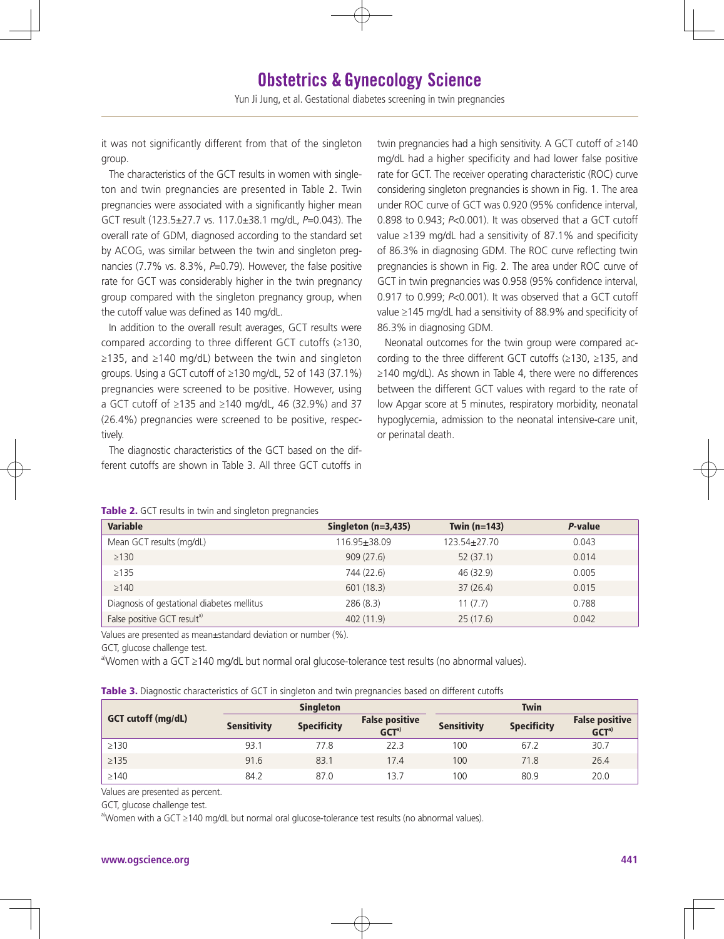it was not significantly different from that of the singleton group.

The characteristics of the GCT results in women with singleton and twin pregnancies are presented in Table 2. Twin pregnancies were associated with a significantly higher mean GCT result (123.5±27.7 vs. 117.0±38.1 mg/dL, *P*=0.043). The overall rate of GDM, diagnosed according to the standard set by ACOG, was similar between the twin and singleton pregnancies (7.7% vs. 8.3%, *P*=0.79). However, the false positive rate for GCT was considerably higher in the twin pregnancy group compared with the singleton pregnancy group, when the cutoff value was defined as 140 mg/dL.

In addition to the overall result averages, GCT results were compared according to three different GCT cutoffs (≥130, ≥135, and ≥140 mg/dL) between the twin and singleton groups. Using a GCT cutoff of ≥130 mg/dL, 52 of 143 (37.1%) pregnancies were screened to be positive. However, using a GCT cutoff of ≥135 and ≥140 mg/dL, 46 (32.9%) and 37 (26.4%) pregnancies were screened to be positive, respectively.

The diagnostic characteristics of the GCT based on the different cutoffs are shown in Table 3. All three GCT cutoffs in twin pregnancies had a high sensitivity. A GCT cutoff of ≥140 mg/dL had a higher specificity and had lower false positive rate for GCT. The receiver operating characteristic (ROC) curve considering singleton pregnancies is shown in Fig. 1. The area under ROC curve of GCT was 0.920 (95% confidence interval, 0.898 to 0.943; *P*<0.001). It was observed that a GCT cutoff value ≥139 mg/dL had a sensitivity of 87.1% and specificity of 86.3% in diagnosing GDM. The ROC curve reflecting twin pregnancies is shown in Fig. 2. The area under ROC curve of GCT in twin pregnancies was 0.958 (95% confidence interval, 0.917 to 0.999; *P*<0.001). It was observed that a GCT cutoff value ≥145 mg/dL had a sensitivity of 88.9% and specificity of 86.3% in diagnosing GDM.

Neonatal outcomes for the twin group were compared according to the three different GCT cutoffs (≥130, ≥135, and ≥140 mg/dL). As shown in Table 4, there were no differences between the different GCT values with regard to the rate of low Apgar score at 5 minutes, respiratory morbidity, neonatal hypoglycemia, admission to the neonatal intensive-care unit, or perinatal death.

| <b>Variable</b>                            | Singleton $(n=3,435)$ | Twin $(n=143)$ | P-value |
|--------------------------------------------|-----------------------|----------------|---------|
| Mean GCT results (mg/dL)                   | 116.95±38.09          | 123.54±27.70   | 0.043   |
| $\geq$ 130                                 | 909(27.6)             | 52(37.1)       | 0.014   |
| $\geq$ 135                                 | 744 (22.6)            | 46 (32.9)      | 0.005   |
| $\geq$ 140                                 | 601 (18.3)            | 37(26.4)       | 0.015   |
| Diagnosis of gestational diabetes mellitus | 286(8.3)              | 11(7.7)        | 0.788   |
| False positive GCT resulta)                | 402 (11.9)            | 25(17.6)       | 0.042   |

#### Table 2. GCT results in twin and singleton pregnancies

Values are presented as mean±standard deviation or number (%).

GCT, glucose challenge test.

a)Women with a GCT ≥140 mg/dL but normal oral glucose-tolerance test results (no abnormal values).

Table 3. Diagnostic characteristics of GCT in singleton and twin pregnancies based on different cutoffs

|                           |                    | <b>Singleton</b>   |                                           |                    | <b>Twin</b>        |                                            |
|---------------------------|--------------------|--------------------|-------------------------------------------|--------------------|--------------------|--------------------------------------------|
| <b>GCT cutoff (mg/dL)</b> | <b>Sensitivity</b> | <b>Specificity</b> | <b>False positive</b><br>GCT <sup>a</sup> | <b>Sensitivity</b> | <b>Specificity</b> | <b>False positive</b><br>GCT <sup>a)</sup> |
| $\geq$ 130                | 93.1               | 77.8               | 22.3                                      | 100                | 67.2               | 30.7                                       |
| $\geq$ 135                | 91.6               | 83.1               | 17.4                                      | 100                | 71.8               | 26.4                                       |
| $\geq$ 140                | 84.2               | 87.0               | 13.7                                      | 100                | 80.9               | 20.0                                       |

Values are presented as percent.

GCT, glucose challenge test.

a)Women with a GCT ≥140 mg/dL but normal oral glucose-tolerance test results (no abnormal values).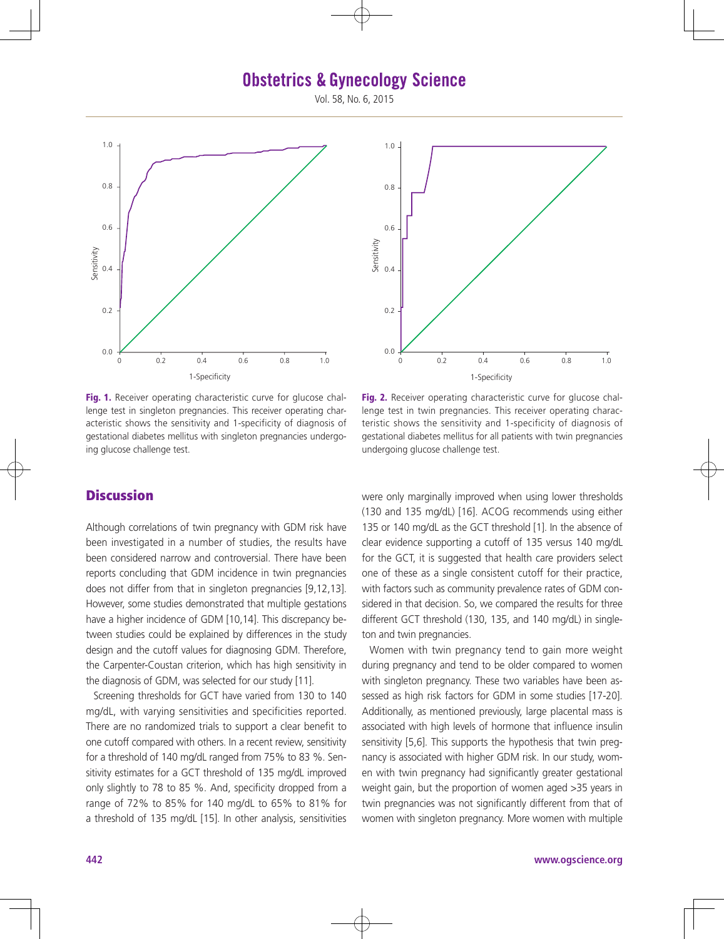## **Obstetrics & Gynecology Science**

Vol. 58, No. 6, 2015



Fig. 1. Receiver operating characteristic curve for glucose challenge test in singleton pregnancies. This receiver operating characteristic shows the sensitivity and 1-specificity of diagnosis of gestational diabetes mellitus with singleton pregnancies undergoing glucose challenge test.

## **Discussion**

Although correlations of twin pregnancy with GDM risk have been investigated in a number of studies, the results have been considered narrow and controversial. There have been reports concluding that GDM incidence in twin pregnancies does not differ from that in singleton pregnancies [9,12,13]. However, some studies demonstrated that multiple gestations have a higher incidence of GDM [10,14]. This discrepancy between studies could be explained by differences in the study design and the cutoff values for diagnosing GDM. Therefore, the Carpenter-Coustan criterion, which has high sensitivity in the diagnosis of GDM, was selected for our study [11].

Screening thresholds for GCT have varied from 130 to 140 mg/dL, with varying sensitivities and specificities reported. There are no randomized trials to support a clear benefit to one cutoff compared with others. In a recent review, sensitivity for a threshold of 140 mg/dL ranged from 75% to 83 %. Sensitivity estimates for a GCT threshold of 135 mg/dL improved only slightly to 78 to 85 %. And, specificity dropped from a range of 72% to 85% for 140 mg/dL to 65% to 81% for a threshold of 135 mg/dL [15]. In other analysis, sensitivities



Fig. 2. Receiver operating characteristic curve for glucose challenge test in twin pregnancies. This receiver operating characteristic shows the sensitivity and 1-specificity of diagnosis of gestational diabetes mellitus for all patients with twin pregnancies undergoing glucose challenge test.

were only marginally improved when using lower thresholds (130 and 135 mg/dL) [16]. ACOG recommends using either 135 or 140 mg/dL as the GCT threshold [1]. In the absence of clear evidence supporting a cutoff of 135 versus 140 mg/dL for the GCT, it is suggested that health care providers select one of these as a single consistent cutoff for their practice, with factors such as community prevalence rates of GDM considered in that decision. So, we compared the results for three different GCT threshold (130, 135, and 140 mg/dL) in singleton and twin pregnancies.

Women with twin pregnancy tend to gain more weight during pregnancy and tend to be older compared to women with singleton pregnancy. These two variables have been assessed as high risk factors for GDM in some studies [17-20]. Additionally, as mentioned previously, large placental mass is associated with high levels of hormone that influence insulin sensitivity [5,6]. This supports the hypothesis that twin pregnancy is associated with higher GDM risk. In our study, women with twin pregnancy had significantly greater gestational weight gain, but the proportion of women aged >35 years in twin pregnancies was not significantly different from that of women with singleton pregnancy. More women with multiple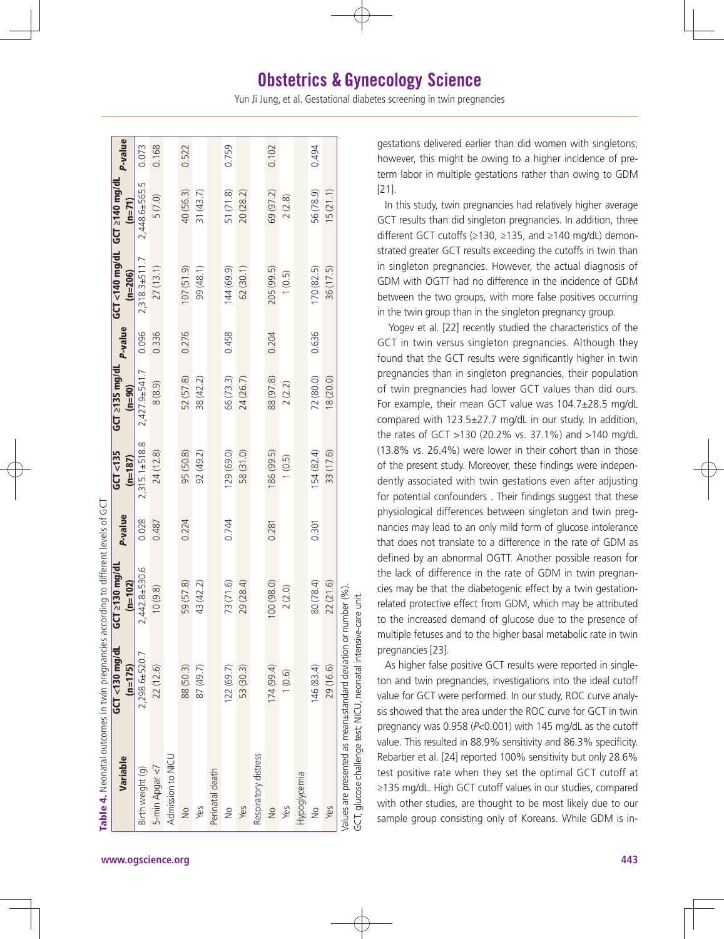| Table 4. Neonatal outcomes in twin pregnancies according to different levels of GCT |                                |                             |         |                        |                                  |                |                                                    |               |                |
|-------------------------------------------------------------------------------------|--------------------------------|-----------------------------|---------|------------------------|----------------------------------|----------------|----------------------------------------------------|---------------|----------------|
| Variable                                                                            | $GCT < 130$ mg/dL<br>$(n=175)$ | GCT ≥130 mg/dL<br>$(n=102)$ | P-value | GCT < 135<br>$(n=187)$ | $GCT \geq 135$ mg/dL<br>$(n=90)$ | <b>P-value</b> | $GCI < 140$ mg/dL $GCI \ge 140$ mg/dL<br>$(n=206)$ | $(n=71)$      | <b>P-value</b> |
| Birth weight (g)                                                                    | 2,298.6±520.7                  | 2,442.8±530.6               | 0.028   | $2,315.1\pm518.8$      | $2,427.9 \pm 541.7$              | 0.096          | 2,318.3±511.7                                      | 2,448.6±565.5 | 0.073          |
| 5-min Apgar <7                                                                      | 22(12.6)                       | 10(9.8)                     | 0.487   | 24(12.8)               | 8(8.9)                           | 0.336          | 27(13.1)                                           | 5(7.0)        | 0.168          |
| Admission to NICU                                                                   |                                |                             |         |                        |                                  |                |                                                    |               |                |
| $\frac{1}{2}$                                                                       | 88 (50.3)                      | 59 (57.8)                   | 0.224   | 95 (50.8)              | 52 (57.8)                        | 0.276          | 107(51.9)                                          | 40 (56.3)     | 0.522          |
| Yes                                                                                 | 87 (49.7)                      | 43 (42.2)                   |         | 92(49.2)               | 38 (42.2)                        |                | 99 (48.1)                                          | 31(43.7)      |                |
| Perinatal death                                                                     |                                |                             |         |                        |                                  |                |                                                    |               |                |
| $\frac{1}{2}$                                                                       | 122(69.7)                      | 73 (71.6)                   | 0.744   | 129(69.0)              | 66 (73.3)                        | 0.458          | 144 (69.9)                                         | 51(71.8)      | 0.759          |
| Yes                                                                                 | 53 (30.3)                      | 29 (28.4)                   |         | 58 (31.0)              | 24 (26.7)                        |                | 62(30.1)                                           | 20 (28.2)     |                |
| Respiratory distress                                                                |                                |                             |         |                        |                                  |                |                                                    |               |                |
| $\frac{1}{2}$                                                                       | 174(99.4)                      | 100 (98.0)                  | 0.281   | 186 (99.5)             | 88 (97.8)                        | 0.204          | 205 (99.5)                                         | 69 (97.2)     | 0.102          |
| Yes                                                                                 | 1(0.6)                         | 2(2.0)                      |         | 1(0.5)                 | 2(2.2)                           |                | 1(0.5)                                             | 2(2.8)        |                |
| Hypoglycemia                                                                        |                                |                             |         |                        |                                  |                |                                                    |               |                |
| $\frac{1}{2}$                                                                       | 146 (83.4)                     | 80 (78.4)                   | 0.301   | 154(82.4)              | 72 (80.0)                        | 0.636          | 170(82.5)                                          | 56 (78.9)     | 0.494          |
| Yes                                                                                 | 29 (16.6)                      | 22(21.6)                    |         | 33 (17.6)              | 18(20.0)                         |                | 36 (17.5)                                          | 15(21.1)      |                |
| Values are presented as mean±standard deviation or number (%).                      |                                |                             |         |                        |                                  |                |                                                    |               |                |
| GCT, glucose challenge test; NICU, neonatal intensive-ca                            |                                | ire unit.                   |         |                        |                                  |                |                                                    |               |                |

Š

gestations delivered earlier than did women with singletons; however, this might be owing to a higher incidence of preterm labor in multiple gestations rather than owing to GDM [21].

In this study, twin pregnancies had relatively higher average GCT results than did singleton pregnancies. In addition, three different GCT cutoffs (≥130, ≥135, and ≥140 mg/dL) demonstrated greater GCT results exceeding the cutoffs in twin than in singleton pregnancies. However, the actual diagnosis of GDM with OGTT had no difference in the incidence of GDM between the two groups, with more false positives occurring in the twin group than in the singleton pregnancy group.

 Yogev et al. [22] recently studied the characteristics of the GCT in twin versus singleton pregnancies. Although they found that the GCT results were significantly higher in twin pregnancies than in singleton pregnancies, their population of twin pregnancies had lower GCT values than did ours. For example, their mean GCT value was 104.7±28.5 mg/dL compared with 123.5±27.7 mg/dL in our study. In addition, the rates of GCT >130 (20.2% vs. 37.1%) and >140 mg/dL (13.8% vs. 26.4%) were lower in their cohort than in those of the present study. Moreover, these findings were independently associated with twin gestations even after adjusting for potential confounders . Their findings suggest that these physiological differences between singleton and twin pregnancies may lead to an only mild form of glucose intolerance that does not translate to a difference in the rate of GDM as defined by an abnormal OGTT. Another possible reason for the lack of difference in the rate of GDM in twin pregnancies may be that the diabetogenic effect by a twin gestationrelated protective effect from GDM, which may be attributed to the increased demand of glucose due to the presence of multiple fetuses and to the higher basal metabolic rate in twin pregnancies [23].

As higher false positive GCT results were reported in singleton and twin pregnancies, investigations into the ideal cutoff value for GCT were performed. In our study, ROC curve analysis showed that the area under the ROC curve for GCT in twin pregnancy was 0.958 (*P*<0.001) with 145 mg/dL as the cutoff value. This resulted in 88.9% sensitivity and 86.3% specificity. Rebarber et al. [24] reported 100% sensitivity but only 28.6% test positive rate when they set the optimal GCT cutoff at ≥135 mg/dL. High GCT cutoff values in our studies, compared with other studies, are thought to be most likely due to our sample group consisting only of Koreans. While GDM is in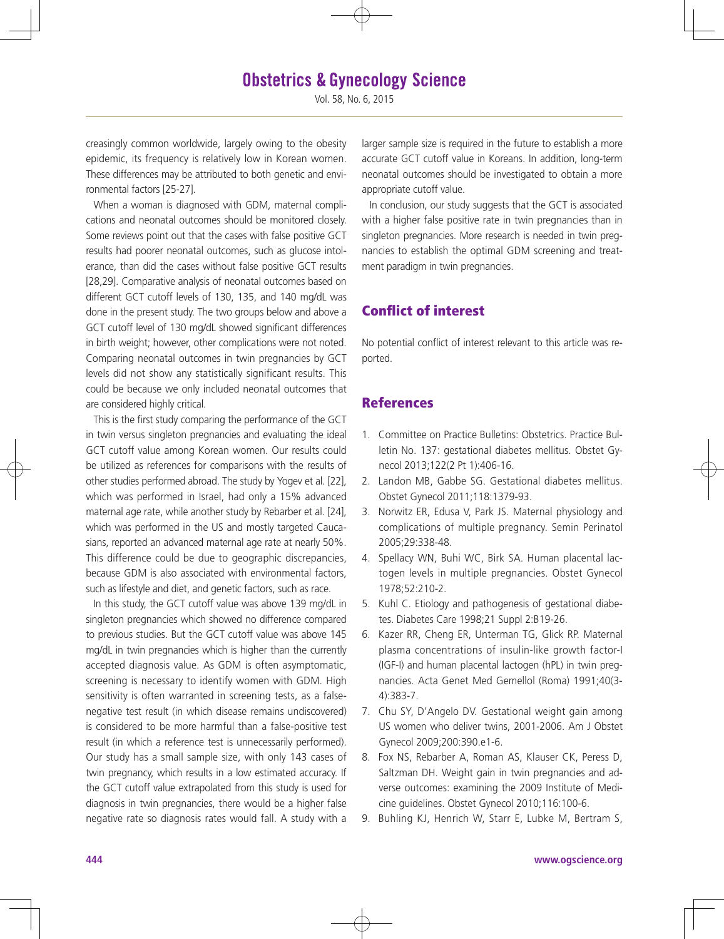Vol. 58, No. 6, 2015

creasingly common worldwide, largely owing to the obesity epidemic, its frequency is relatively low in Korean women. These differences may be attributed to both genetic and environmental factors [25-27].

When a woman is diagnosed with GDM, maternal complications and neonatal outcomes should be monitored closely. Some reviews point out that the cases with false positive GCT results had poorer neonatal outcomes, such as glucose intolerance, than did the cases without false positive GCT results [28,29]. Comparative analysis of neonatal outcomes based on different GCT cutoff levels of 130, 135, and 140 mg/dL was done in the present study. The two groups below and above a GCT cutoff level of 130 mg/dL showed significant differences in birth weight; however, other complications were not noted. Comparing neonatal outcomes in twin pregnancies by GCT levels did not show any statistically significant results. This could be because we only included neonatal outcomes that are considered highly critical.

This is the first study comparing the performance of the GCT in twin versus singleton pregnancies and evaluating the ideal GCT cutoff value among Korean women. Our results could be utilized as references for comparisons with the results of other studies performed abroad. The study by Yogev et al. [22], which was performed in Israel, had only a 15% advanced maternal age rate, while another study by Rebarber et al. [24], which was performed in the US and mostly targeted Caucasians, reported an advanced maternal age rate at nearly 50%. This difference could be due to geographic discrepancies, because GDM is also associated with environmental factors, such as lifestyle and diet, and genetic factors, such as race.

In this study, the GCT cutoff value was above 139 mg/dL in singleton pregnancies which showed no difference compared to previous studies. But the GCT cutoff value was above 145 mg/dL in twin pregnancies which is higher than the currently accepted diagnosis value. As GDM is often asymptomatic, screening is necessary to identify women with GDM. High sensitivity is often warranted in screening tests, as a falsenegative test result (in which disease remains undiscovered) is considered to be more harmful than a false-positive test result (in which a reference test is unnecessarily performed). Our study has a small sample size, with only 143 cases of twin pregnancy, which results in a low estimated accuracy. If the GCT cutoff value extrapolated from this study is used for diagnosis in twin pregnancies, there would be a higher false negative rate so diagnosis rates would fall. A study with a

larger sample size is required in the future to establish a more accurate GCT cutoff value in Koreans. In addition, long-term neonatal outcomes should be investigated to obtain a more appropriate cutoff value.

In conclusion, our study suggests that the GCT is associated with a higher false positive rate in twin pregnancies than in singleton pregnancies. More research is needed in twin pregnancies to establish the optimal GDM screening and treatment paradigm in twin pregnancies.

## Conflict of interest

No potential conflict of interest relevant to this article was reported.

## **References**

- 1. Committee on Practice Bulletins: Obstetrics. Practice Bulletin No. 137: gestational diabetes mellitus. Obstet Gynecol 2013;122(2 Pt 1):406-16.
- 2. Landon MB, Gabbe SG. Gestational diabetes mellitus. Obstet Gynecol 2011;118:1379-93.
- 3. Norwitz ER, Edusa V, Park JS. Maternal physiology and complications of multiple pregnancy. Semin Perinatol 2005;29:338-48.
- 4. Spellacy WN, Buhi WC, Birk SA. Human placental lactogen levels in multiple pregnancies. Obstet Gynecol 1978;52:210-2.
- 5. Kuhl C. Etiology and pathogenesis of gestational diabetes. Diabetes Care 1998;21 Suppl 2:B19-26.
- 6. Kazer RR, Cheng ER, Unterman TG, Glick RP. Maternal plasma concentrations of insulin-like growth factor-I (IGF-I) and human placental lactogen (hPL) in twin pregnancies. Acta Genet Med Gemellol (Roma) 1991;40(3- 4):383-7.
- 7. Chu SY, D'Angelo DV. Gestational weight gain among US women who deliver twins, 2001-2006. Am J Obstet Gynecol 2009;200:390.e1-6.
- 8. Fox NS, Rebarber A, Roman AS, Klauser CK, Peress D, Saltzman DH. Weight gain in twin pregnancies and adverse outcomes: examining the 2009 Institute of Medicine guidelines. Obstet Gynecol 2010;116:100-6.
- Buhling KJ, Henrich W, Starr E, Lubke M, Bertram S,